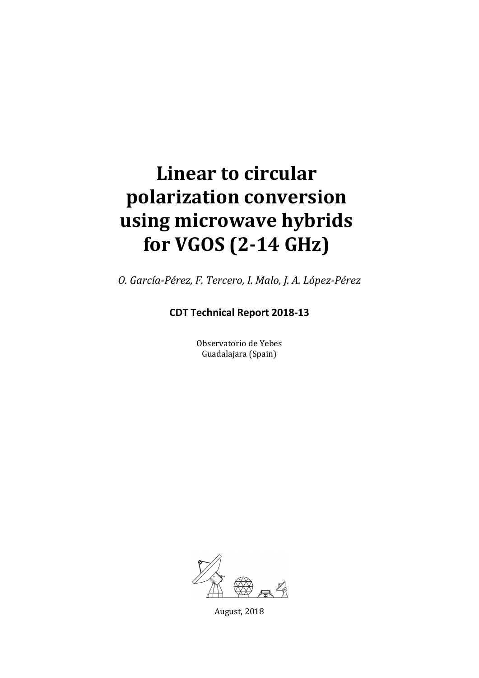# **Linear to circular polarization conversion using microwave hybrids for VGOS (2-14 GHz)**

*O. García-Pérez, F. Tercero, I. Malo, J. A. López-Pérez*

**CDT Technical Report 2018-13**

Observatorio de Yebes Guadalajara (Spain)



August, 2018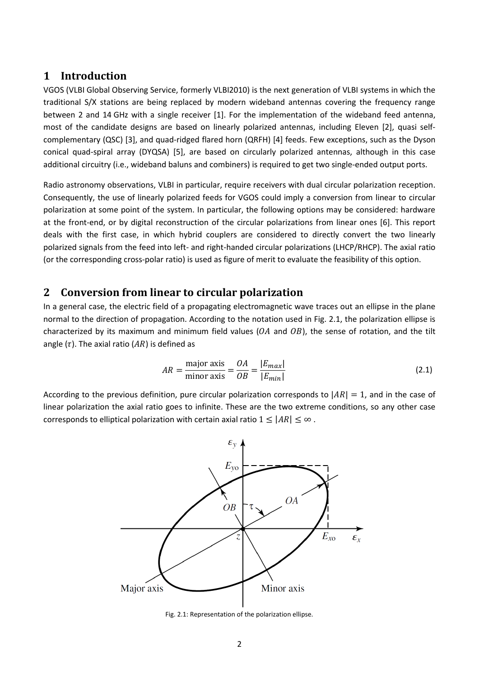# **1 Introduction**

VGOS (VLBI Global Observing Service, formerly VLBI2010) is the next generation of VLBI systems in which the traditional S/X stations are being replaced by modern wideband antennas covering the frequency range between 2 and 14 GHz with a single receiver [\[1\].](#page-8-0) For the implementation of the wideband feed antenna, most of the candidate designs are based on linearly polarized antennas, including Eleven [\[2\],](#page-8-1) quasi selfcomplementary (QSC) [\[3\],](#page-8-2) and quad-ridged flared horn (QRFH) [\[4\]](#page-8-3) feeds. Few exceptions, such as the Dyson conical quad-spiral array (DYQSA) [\[5\],](#page-8-4) are based on circularly polarized antennas, although in this case additional circuitry (i.e., wideband baluns and combiners) is required to get two single-ended output ports.

Radio astronomy observations, VLBI in particular, require receivers with dual circular polarization reception. Consequently, the use of linearly polarized feeds for VGOS could imply a conversion from linear to circular polarization at some point of the system. In particular, the following options may be considered: hardware at the front-end, or by digital reconstruction of the circular polarizations from linear ones [\[6\].](#page-8-5) This report deals with the first case, in which hybrid couplers are considered to directly convert the two linearly polarized signals from the feed into left- and right-handed circular polarizations (LHCP/RHCP). The axial ratio (or the corresponding cross-polar ratio) is used as figure of merit to evaluate the feasibility of this option.

# <span id="page-1-2"></span>**2 Conversion from linear to circular polarization**

In a general case, the electric field of a propagating electromagnetic wave traces out an ellipse in the plane normal to the direction of propagation. According to the notation used in [Fig. 2.1,](#page-1-0) the polarization ellipse is characterized by its maximum and minimum field values ( $OA$  and  $OB$ ), the sense of rotation, and the tilt angle ( $\tau$ ). The axial ratio ( $AR$ ) is defined as

<span id="page-1-1"></span>
$$
AR = \frac{\text{major axis}}{\text{minor axis}} = \frac{OA}{OB} = \frac{|E_{max}|}{|E_{min}|}
$$
\n(2.1)

According to the previous definition, pure circular polarization corresponds to  $|AR| = 1$ , and in the case of linear polarization the axial ratio goes to infinite. These are the two extreme conditions, so any other case corresponds to elliptical polarization with certain axial ratio  $1 \leq |AR| \leq \infty$ .



<span id="page-1-0"></span>Fig. 2.1: Representation of the polarization ellipse.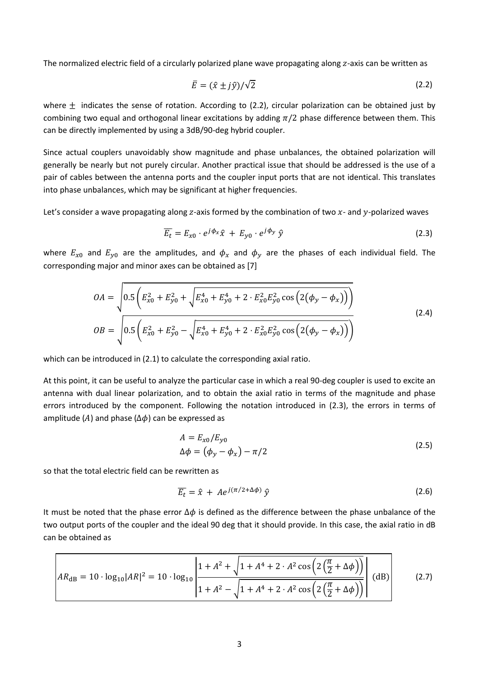The normalized electric field of a circularly polarized plane wave propagating along z-axis can be written as

<span id="page-2-0"></span>
$$
\bar{E} = (\hat{x} \pm j\hat{y})/\sqrt{2} \tag{2.2}
$$

where  $\pm$  indicates the sense of rotation. According to [\(2.2\),](#page-2-0) circular polarization can be obtained just by combining two equal and orthogonal linear excitations by adding  $\pi/2$  phase difference between them. This can be directly implemented by using a 3dB/90-deg hybrid coupler.

Since actual couplers unavoidably show magnitude and phase unbalances, the obtained polarization will generally be nearly but not purely circular. Another practical issue that should be addressed is the use of a pair of cables between the antenna ports and the coupler input ports that are not identical. This translates into phase unbalances, which may be significant at higher frequencies.

Let's consider a wave propagating along z-axis formed by the combination of two  $x$ - and y-polarized waves

<span id="page-2-1"></span>
$$
\overline{E_t} = E_{x0} \cdot e^{j\phi_x} \hat{x} + E_{y0} \cdot e^{j\phi_y} \hat{y}
$$
\n(2.3)

where  $E_{x0}$  and  $E_{y0}$  are the amplitudes, and  $\phi_x$  and  $\phi_y$  are the phases of each individual field. The corresponding major and minor axes can be obtained as [\[7\]](#page-8-6)

$$
OA = \sqrt{0.5\left(E_{x0}^2 + E_{y0}^2 + \sqrt{E_{x0}^4 + E_{y0}^4 + 2 \cdot E_{x0}^2 E_{y0}^2 \cos\left(2(\phi_y - \phi_x)\right)}\right)}
$$
  
\n
$$
OB = \sqrt{0.5\left(E_{x0}^2 + E_{y0}^2 - \sqrt{E_{x0}^4 + E_{y0}^4 + 2 \cdot E_{x0}^2 E_{y0}^2 \cos\left(2(\phi_y - \phi_x)\right)}\right)}
$$
\n(2.4)

which can be introduced in [\(2.1\)](#page-1-1) to calculate the corresponding axial ratio.

At this point, it can be useful to analyze the particular case in which a real 90-deg coupler is used to excite an antenna with dual linear polarization, and to obtain the axial ratio in terms of the magnitude and phase errors introduced by the component. Following the notation introduced in [\(2.3\),](#page-2-1) the errors in terms of amplitude (A) and phase ( $\Delta \phi$ ) can be expressed as

$$
A = E_{x0}/E_{y0}
$$
  
\n
$$
\Delta \phi = (\phi_y - \phi_x) - \pi/2
$$
\n(2.5)

so that the total electric field can be rewritten as

<span id="page-2-2"></span>
$$
\overline{E_t} = \hat{x} + Ae^{j(\pi/2 + \Delta\phi)}\hat{y}
$$
 (2.6)

It must be noted that the phase error  $\Delta \phi$  is defined as the difference between the phase unbalance of the two output ports of the coupler and the ideal 90 deg that it should provide. In this case, the axial ratio in dB can be obtained as

$$
AR_{\text{dB}} = 10 \cdot \log_{10} |AR|^2 = 10 \cdot \log_{10} \left| \frac{1 + A^2 + \sqrt{1 + A^4 + 2 \cdot A^2 \cos \left( 2 \left( \frac{\pi}{2} + \Delta \phi \right) \right)}}{1 + A^2 - \sqrt{1 + A^4 + 2 \cdot A^2 \cos \left( 2 \left( \frac{\pi}{2} + \Delta \phi \right) \right)}} \right| \text{ (dB)}
$$
(2.7)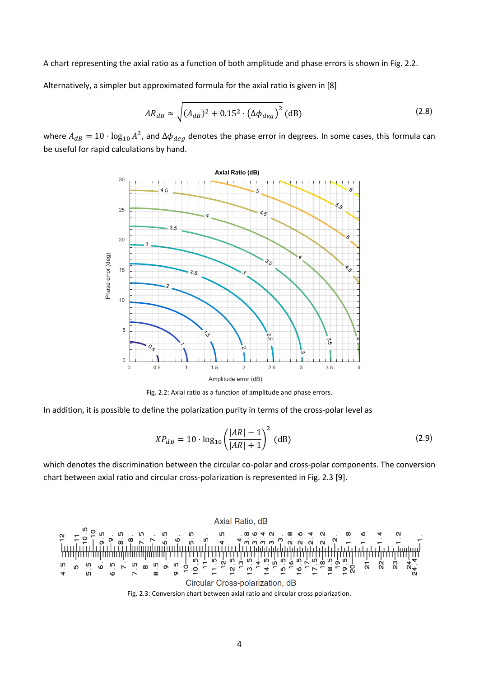A chart representing the axial ratio as a function of both amplitude and phase errors is shown in [Fig. 2.2.](#page-3-0)

Alternatively, a simpler but approximated formula for the axial ratio is given i[n \[8\]](#page-8-7)

$$
AR_{dB} \approx \sqrt{(A_{dB})^2 + 0.15^2 \cdot (\Delta \phi_{deg})^2} \text{ (dB)}
$$
 (2.8)

where  $A_{dB} = 10 \cdot \log_{10} A^2$ , and  $\Delta \phi_{dea}$  denotes the phase error in degrees. In some cases, this formula can be useful for rapid calculations by hand.



Fig. 2.2: Axial ratio as a function of amplitude and phase errors.

<span id="page-3-0"></span>In addition, it is possible to define the polarization purity in terms of the cross-polar level as

$$
XP_{dB} = 10 \cdot \log_{10} \left( \frac{|AR| - 1}{|AR| + 1} \right)^2
$$
 (dB) (2.9)

which denotes the discrimination between the circular co-polar and cross-polar components. The conversion chart between axial ratio and circular cross-polarization is represented i[n Fig. 2.3](#page-3-1) [\[9\].](#page-8-8)

<span id="page-3-1"></span>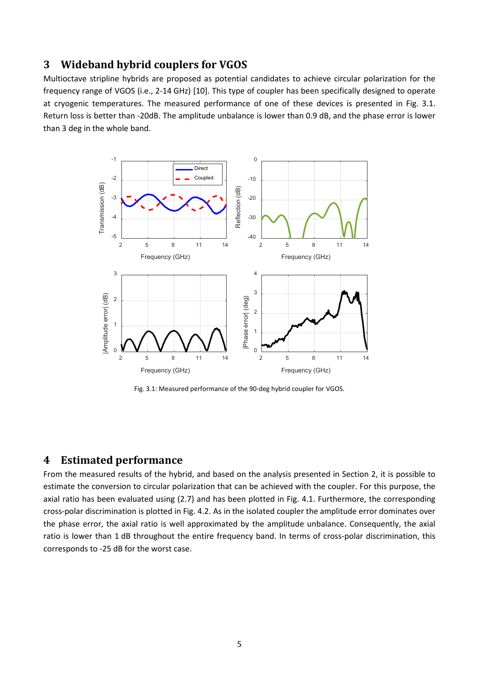# **3 Wideband hybrid couplers for VGOS**

Multioctave stripline hybrids are proposed as potential candidates to achieve circular polarization for the frequency range of VGOS (i.e., 2-14 GHz) [\[10\].](#page-8-9) This type of coupler has been specifically designed to operate at cryogenic temperatures. The measured performance of one of these devices is presented in [Fig. 3.1.](#page-4-0) Return loss is better than -20dB. The amplitude unbalance is lower than 0.9 dB, and the phase error is lower than 3 deg in the whole band.



Fig. 3.1: Measured performance of the 90-deg hybrid coupler for VGOS.

#### <span id="page-4-0"></span>**4 Estimated performance**

From the measured results of the hybrid, and based on the analysis presented in Section [2,](#page-1-2) it is possible to estimate the conversion to circular polarization that can be achieved with the coupler. For this purpose, the axial ratio has been evaluated using [\(2.7\)](#page-2-2) and has been plotted in [Fig. 4.1.](#page-5-0) Furthermore, the corresponding cross-polar discrimination is plotted in [Fig. 4.2.](#page-5-1) As in the isolated coupler the amplitude error dominates over the phase error, the axial ratio is well approximated by the amplitude unbalance. Consequently, the axial ratio is lower than 1 dB throughout the entire frequency band. In terms of cross-polar discrimination, this corresponds to -25 dB for the worst case.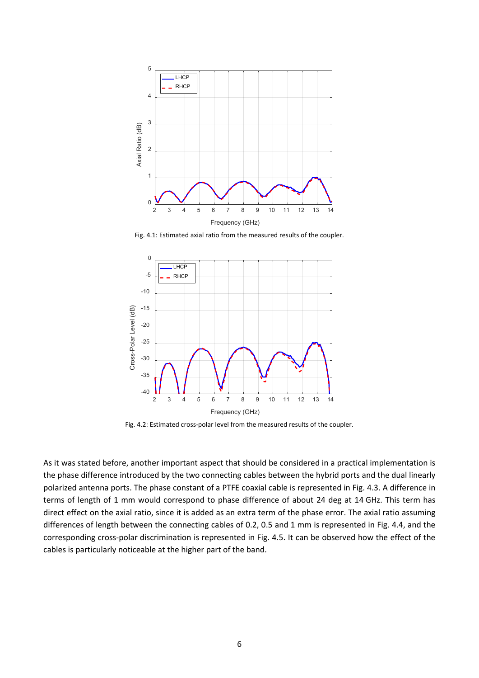

Fig. 4.1: Estimated axial ratio from the measured results of the coupler.

<span id="page-5-0"></span>

Fig. 4.2: Estimated cross-polar level from the measured results of the coupler.

<span id="page-5-1"></span>As it was stated before, another important aspect that should be considered in a practical implementation is the phase difference introduced by the two connecting cables between the hybrid ports and the dual linearly polarized antenna ports. The phase constant of a PTFE coaxial cable is represented in [Fig. 4.3.](#page-6-0) A difference in terms of length of 1 mm would correspond to phase difference of about 24 deg at 14 GHz. This term has direct effect on the axial ratio, since it is added as an extra term of the phase error. The axial ratio assuming differences of length between the connecting cables of 0.2, 0.5 and 1 mm is represented in [Fig. 4.4,](#page-6-1) and the corresponding cross-polar discrimination is represented in [Fig. 4.5.](#page-6-2) It can be observed how the effect of the cables is particularly noticeable at the higher part of the band.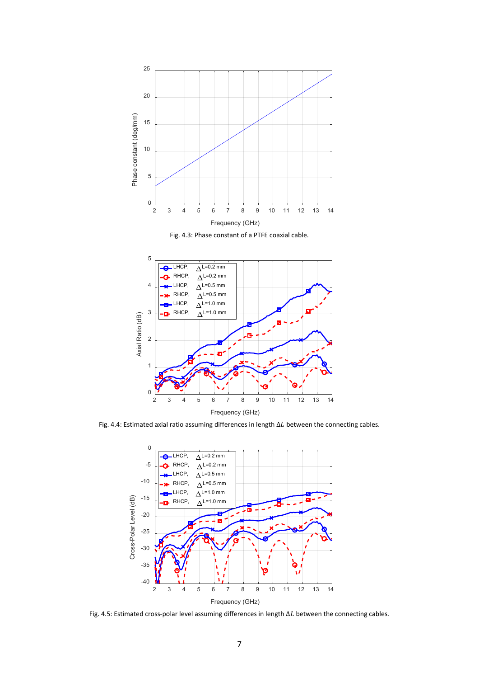

Fig. 4.3: Phase constant of a PTFE coaxial cable.

<span id="page-6-0"></span>

<span id="page-6-1"></span>Fig. 4.4: Estimated axial ratio assuming differences in length  $\Delta L$  between the connecting cables.



<span id="page-6-2"></span>Fig. 4.5: Estimated cross-polar level assuming differences in length  $\Delta L$  between the connecting cables.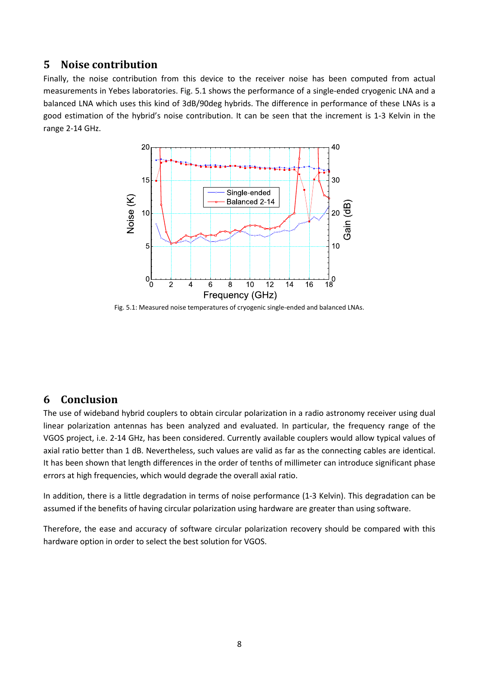# **5 Noise contribution**

Finally, the noise contribution from this device to the receiver noise has been computed from actual measurements in Yebes laboratories. [Fig. 5.1](#page-7-0) shows the performance of a single-ended cryogenic LNA and a balanced LNA which uses this kind of 3dB/90deg hybrids. The difference in performance of these LNAs is a good estimation of the hybrid's noise contribution. It can be seen that the increment is 1-3 Kelvin in the range 2-14 GHz.



<span id="page-7-0"></span>Fig. 5.1: Measured noise temperatures of cryogenic single-ended and balanced LNAs.

### **6 Conclusion**

The use of wideband hybrid couplers to obtain circular polarization in a radio astronomy receiver using dual linear polarization antennas has been analyzed and evaluated. In particular, the frequency range of the VGOS project, i.e. 2-14 GHz, has been considered. Currently available couplers would allow typical values of axial ratio better than 1 dB. Nevertheless, such values are valid as far as the connecting cables are identical. It has been shown that length differences in the order of tenths of millimeter can introduce significant phase errors at high frequencies, which would degrade the overall axial ratio.

In addition, there is a little degradation in terms of noise performance (1-3 Kelvin). This degradation can be assumed if the benefits of having circular polarization using hardware are greater than using software.

Therefore, the ease and accuracy of software circular polarization recovery should be compared with this hardware option in order to select the best solution for VGOS.